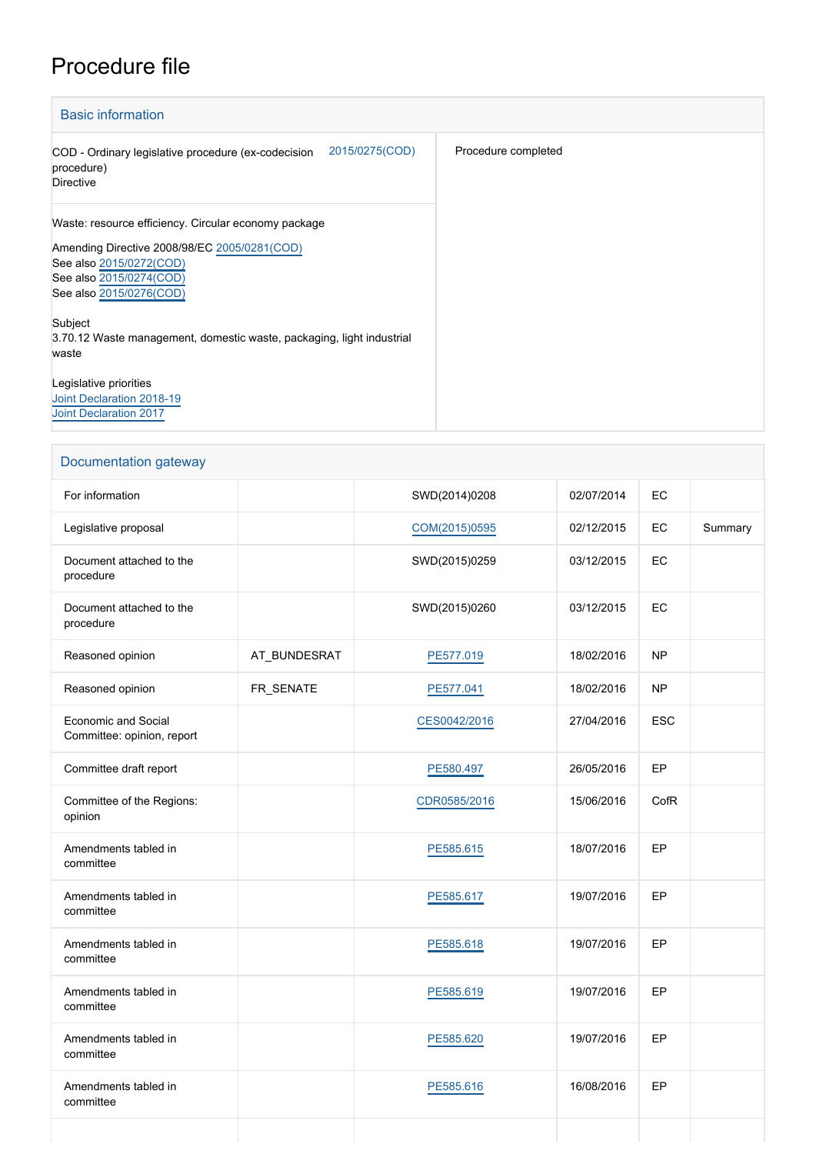## Procedure file

| <b>Basic information</b>                                                                                                                                                              |                     |  |  |  |  |
|---------------------------------------------------------------------------------------------------------------------------------------------------------------------------------------|---------------------|--|--|--|--|
| 2015/0275(COD)<br>COD - Ordinary legislative procedure (ex-codecision<br>procedure)<br><b>Directive</b>                                                                               | Procedure completed |  |  |  |  |
| Waste: resource efficiency. Circular economy package<br>Amending Directive 2008/98/EC 2005/0281(COD)<br>See also 2015/0272(COD)<br>See also 2015/0274(COD)<br>See also 2015/0276(COD) |                     |  |  |  |  |
| Subject<br>3.70.12 Waste management, domestic waste, packaging, light industrial<br>waste                                                                                             |                     |  |  |  |  |
| Legislative priorities<br>Joint Declaration 2018-19<br><b>Joint Declaration 2017</b>                                                                                                  |                     |  |  |  |  |

| Documentation gateway                                    |              |               |            |            |         |  |
|----------------------------------------------------------|--------------|---------------|------------|------------|---------|--|
| For information                                          |              | SWD(2014)0208 | 02/07/2014 | EC         |         |  |
| Legislative proposal                                     |              | COM(2015)0595 | 02/12/2015 | EC         | Summary |  |
| Document attached to the<br>procedure                    |              | SWD(2015)0259 | 03/12/2015 | EC         |         |  |
| Document attached to the<br>procedure                    |              | SWD(2015)0260 | 03/12/2015 | EC         |         |  |
| Reasoned opinion                                         | AT_BUNDESRAT | PE577.019     | 18/02/2016 | <b>NP</b>  |         |  |
| Reasoned opinion                                         | FR_SENATE    | PE577.041     | 18/02/2016 | <b>NP</b>  |         |  |
| <b>Economic and Social</b><br>Committee: opinion, report |              | CES0042/2016  | 27/04/2016 | <b>ESC</b> |         |  |
| Committee draft report                                   |              | PE580.497     | 26/05/2016 | EP         |         |  |
| Committee of the Regions:<br>opinion                     |              | CDR0585/2016  | 15/06/2016 | CofR       |         |  |
| Amendments tabled in<br>committee                        |              | PE585.615     | 18/07/2016 | EP         |         |  |
| Amendments tabled in<br>committee                        |              | PE585.617     | 19/07/2016 | EP         |         |  |
| Amendments tabled in<br>committee                        |              | PE585.618     | 19/07/2016 | EP         |         |  |
| Amendments tabled in<br>committee                        |              | PE585.619     | 19/07/2016 | EP         |         |  |
| Amendments tabled in<br>committee                        |              | PE585.620     | 19/07/2016 | EP         |         |  |
| Amendments tabled in<br>committee                        |              | PE585.616     | 16/08/2016 | EP         |         |  |